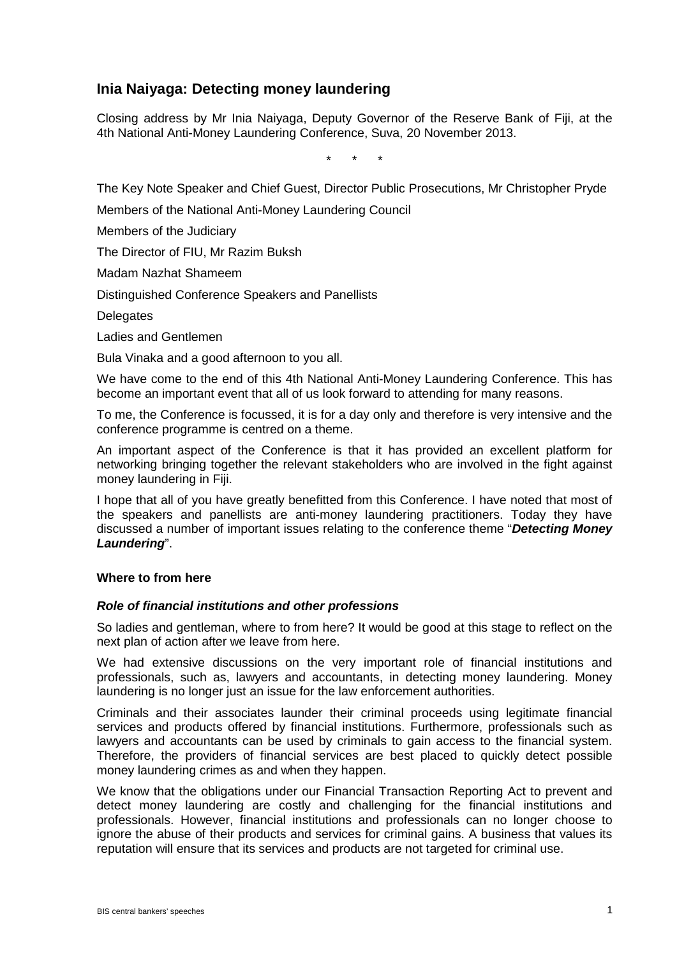# **Inia Naiyaga: Detecting money laundering**

Closing address by Mr Inia Naiyaga, Deputy Governor of the Reserve Bank of Fiji, at the 4th National Anti-Money Laundering Conference, Suva, 20 November 2013.

\* \* \*

The Key Note Speaker and Chief Guest, Director Public Prosecutions, Mr Christopher Pryde

Members of the National Anti-Money Laundering Council

Members of the Judiciary

The Director of FIU, Mr Razim Buksh

Madam Nazhat Shameem

Distinguished Conference Speakers and Panellists

**Delegates** 

Ladies and Gentlemen

Bula Vinaka and a good afternoon to you all.

We have come to the end of this 4th National Anti-Money Laundering Conference. This has become an important event that all of us look forward to attending for many reasons.

To me, the Conference is focussed, it is for a day only and therefore is very intensive and the conference programme is centred on a theme.

An important aspect of the Conference is that it has provided an excellent platform for networking bringing together the relevant stakeholders who are involved in the fight against money laundering in Fiji.

I hope that all of you have greatly benefitted from this Conference. I have noted that most of the speakers and panellists are anti-money laundering practitioners. Today they have discussed a number of important issues relating to the conference theme "*Detecting Money Laundering*".

## **Where to from here**

#### *Role of financial institutions and other professions*

So ladies and gentleman, where to from here? It would be good at this stage to reflect on the next plan of action after we leave from here.

We had extensive discussions on the very important role of financial institutions and professionals, such as, lawyers and accountants, in detecting money laundering. Money laundering is no longer just an issue for the law enforcement authorities.

Criminals and their associates launder their criminal proceeds using legitimate financial services and products offered by financial institutions. Furthermore, professionals such as lawyers and accountants can be used by criminals to gain access to the financial system. Therefore, the providers of financial services are best placed to quickly detect possible money laundering crimes as and when they happen.

We know that the obligations under our Financial Transaction Reporting Act to prevent and detect money laundering are costly and challenging for the financial institutions and professionals. However, financial institutions and professionals can no longer choose to ignore the abuse of their products and services for criminal gains. A business that values its reputation will ensure that its services and products are not targeted for criminal use.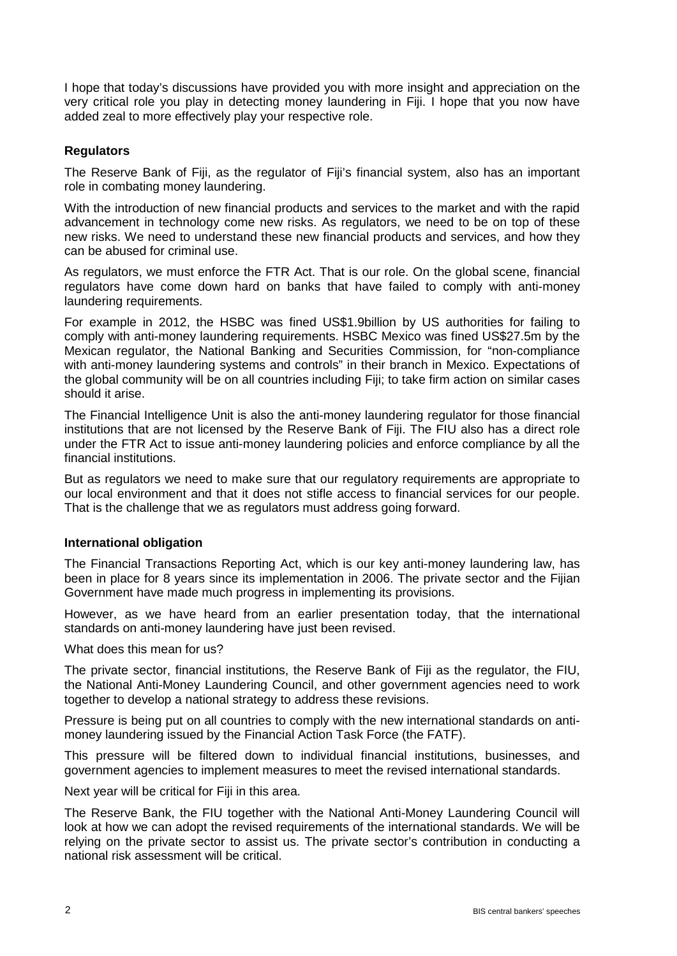I hope that today's discussions have provided you with more insight and appreciation on the very critical role you play in detecting money laundering in Fiji. I hope that you now have added zeal to more effectively play your respective role.

## **Regulators**

The Reserve Bank of Fiji, as the regulator of Fiji's financial system, also has an important role in combating money laundering.

With the introduction of new financial products and services to the market and with the rapid advancement in technology come new risks. As regulators, we need to be on top of these new risks. We need to understand these new financial products and services, and how they can be abused for criminal use.

As regulators, we must enforce the FTR Act. That is our role. On the global scene, financial regulators have come down hard on banks that have failed to comply with anti-money laundering requirements.

For example in 2012, the HSBC was fined US\$1.9billion by US authorities for failing to comply with anti-money laundering requirements. HSBC Mexico was fined US\$27.5m by the Mexican regulator, the National Banking and Securities Commission, for "non-compliance with anti-money laundering systems and controls" in their branch in Mexico. Expectations of the global community will be on all countries including Fiji; to take firm action on similar cases should it arise.

The Financial Intelligence Unit is also the anti-money laundering regulator for those financial institutions that are not licensed by the Reserve Bank of Fiji. The FIU also has a direct role under the FTR Act to issue anti-money laundering policies and enforce compliance by all the financial institutions.

But as regulators we need to make sure that our regulatory requirements are appropriate to our local environment and that it does not stifle access to financial services for our people. That is the challenge that we as regulators must address going forward.

### **International obligation**

The Financial Transactions Reporting Act, which is our key anti-money laundering law, has been in place for 8 years since its implementation in 2006. The private sector and the Fijian Government have made much progress in implementing its provisions.

However, as we have heard from an earlier presentation today, that the international standards on anti-money laundering have just been revised.

What does this mean for us?

The private sector, financial institutions, the Reserve Bank of Fiji as the regulator, the FIU, the National Anti-Money Laundering Council, and other government agencies need to work together to develop a national strategy to address these revisions.

Pressure is being put on all countries to comply with the new international standards on antimoney laundering issued by the Financial Action Task Force (the FATF).

This pressure will be filtered down to individual financial institutions, businesses, and government agencies to implement measures to meet the revised international standards.

Next year will be critical for Fiji in this area.

The Reserve Bank, the FIU together with the National Anti-Money Laundering Council will look at how we can adopt the revised requirements of the international standards. We will be relying on the private sector to assist us. The private sector's contribution in conducting a national risk assessment will be critical.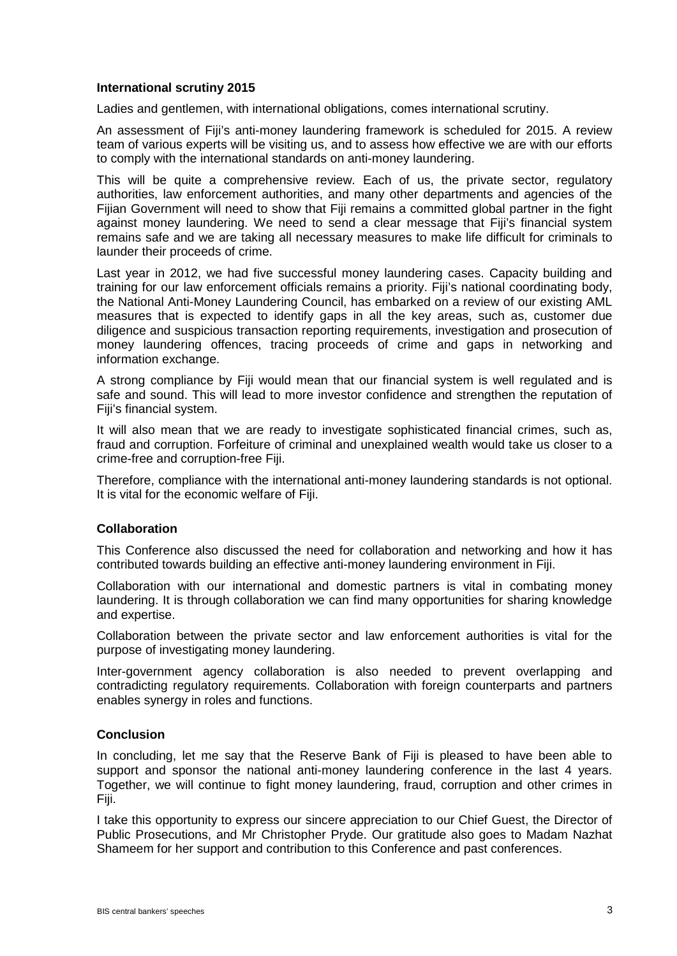## **International scrutiny 2015**

Ladies and gentlemen, with international obligations, comes international scrutiny.

An assessment of Fiji's anti-money laundering framework is scheduled for 2015. A review team of various experts will be visiting us, and to assess how effective we are with our efforts to comply with the international standards on anti-money laundering.

This will be quite a comprehensive review. Each of us, the private sector, regulatory authorities, law enforcement authorities, and many other departments and agencies of the Fijian Government will need to show that Fiji remains a committed global partner in the fight against money laundering. We need to send a clear message that Fiji's financial system remains safe and we are taking all necessary measures to make life difficult for criminals to launder their proceeds of crime.

Last year in 2012, we had five successful money laundering cases. Capacity building and training for our law enforcement officials remains a priority. Fiji's national coordinating body, the National Anti-Money Laundering Council, has embarked on a review of our existing AML measures that is expected to identify gaps in all the key areas, such as, customer due diligence and suspicious transaction reporting requirements, investigation and prosecution of money laundering offences, tracing proceeds of crime and gaps in networking and information exchange.

A strong compliance by Fiji would mean that our financial system is well regulated and is safe and sound. This will lead to more investor confidence and strengthen the reputation of Fiji's financial system.

It will also mean that we are ready to investigate sophisticated financial crimes, such as, fraud and corruption. Forfeiture of criminal and unexplained wealth would take us closer to a crime-free and corruption-free Fiji.

Therefore, compliance with the international anti-money laundering standards is not optional. It is vital for the economic welfare of Fiji.

### **Collaboration**

This Conference also discussed the need for collaboration and networking and how it has contributed towards building an effective anti-money laundering environment in Fiji.

Collaboration with our international and domestic partners is vital in combating money laundering. It is through collaboration we can find many opportunities for sharing knowledge and expertise.

Collaboration between the private sector and law enforcement authorities is vital for the purpose of investigating money laundering.

Inter-government agency collaboration is also needed to prevent overlapping and contradicting regulatory requirements. Collaboration with foreign counterparts and partners enables synergy in roles and functions.

### **Conclusion**

In concluding, let me say that the Reserve Bank of Fiji is pleased to have been able to support and sponsor the national anti-money laundering conference in the last 4 years. Together, we will continue to fight money laundering, fraud, corruption and other crimes in Fiji.

I take this opportunity to express our sincere appreciation to our Chief Guest, the Director of Public Prosecutions, and Mr Christopher Pryde. Our gratitude also goes to Madam Nazhat Shameem for her support and contribution to this Conference and past conferences.